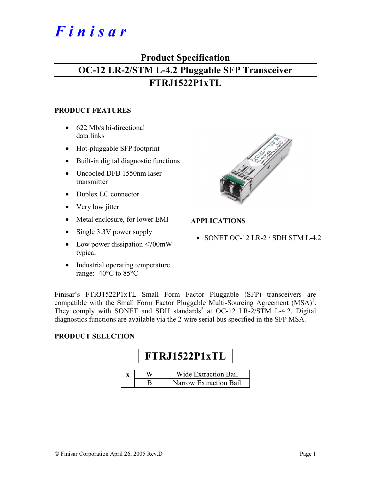# *F i n i s a r*

## **Product Specification OC-12 LR-2/STM L-4.2 Pluggable SFP Transceiver FTRJ1522P1xTL**

#### **PRODUCT FEATURES**

- 622 Mb/s bi-directional data links
- Hot-pluggable SFP footprint
- Built-in digital diagnostic functions
- Uncooled DFB 1550nm laser transmitter
- Duplex LC connector
- Very low jitter
- Metal enclosure, for lower EMI
- Single 3.3V power supply
- Low power dissipation <700mW typical
- Industrial operating temperature range: -40°C to 85°C



#### **APPLICATIONS**

• SONET OC-12 LR-2 / SDH STM L-4.2

Finisar's FTRJ1522P1xTL Small Form Factor Pluggable (SFP) transceivers are compatible with the Small Form Factor Pluggable Multi-Sourcing Agreement  $(MSA)^1$ . They comply with SONET and SDH standards<sup>2</sup> at OC-12 LR-2/STM L-4.2. Digital diagnostics functions are available via the 2-wire serial bus specified in the SFP MSA.

#### **PRODUCT SELECTION**

# **FTRJ1522P1xTL**

|  | Wide Extraction Bail          |
|--|-------------------------------|
|  | <b>Narrow Extraction Bail</b> |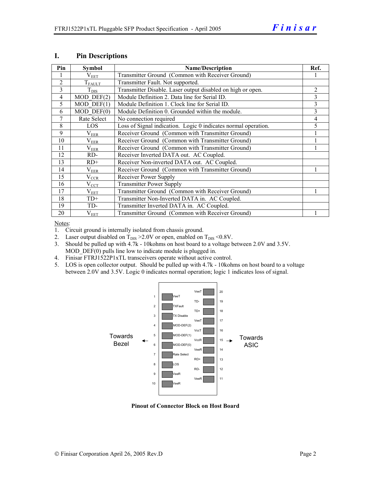| Pin            | <b>Symbol</b>           | <b>Name/Description</b>                                        | Ref. |
|----------------|-------------------------|----------------------------------------------------------------|------|
|                | $\rm V_{EET}$           | Transmitter Ground (Common with Receiver Ground)               |      |
| $\overline{2}$ | $T_{\rm FALLT}$         | Transmitter Fault. Not supported.                              |      |
| 3              | $T_{\text{DIS}}$        | Transmitter Disable. Laser output disabled on high or open.    | 2    |
| $\overline{4}$ | $\overline{MOD}$ DEF(2) | Module Definition 2. Data line for Serial ID.                  | 3    |
| 5              | $MOD$ DEF $(1)$         | Module Definition 1. Clock line for Serial ID.                 | 3    |
| 6              | $MOD$ $DEF(0)$          | Module Definition 0. Grounded within the module.               | 3    |
| 7              | Rate Select             | No connection required                                         | 4    |
| 8              | <b>LOS</b>              | Loss of Signal indication. Logic 0 indicates normal operation. | 5    |
| 9              | $\rm V_{EER}$           | Receiver Ground (Common with Transmitter Ground)               |      |
| 10             | $\rm V_{EER}$           | Receiver Ground (Common with Transmitter Ground)               |      |
| 11             | $\rm V_{EER}$           | Receiver Ground (Common with Transmitter Ground)               |      |
| 12             | RD-                     | Receiver Inverted DATA out. AC Coupled.                        |      |
| 13             | $RD+$                   | Receiver Non-inverted DATA out. AC Coupled.                    |      |
| 14             | $\rm V_{EER}$           | Receiver Ground (Common with Transmitter Ground)               |      |
| 15             | $V_{CCR}$               | Receiver Power Supply                                          |      |
| 16             | $V_{CCT}$               | <b>Transmitter Power Supply</b>                                |      |
| 17             | $\rm V_{EET}$           | Transmitter Ground (Common with Receiver Ground)               |      |
| 18             | $TD+$                   | Transmitter Non-Inverted DATA in. AC Coupled.                  |      |
| 19             | TD-                     | Transmitter Inverted DATA in. AC Coupled.                      |      |
| 20             | $V_{EET}$               | Transmitter Ground (Common with Receiver Ground)               |      |

#### **I. Pin Descriptions**

Notes:

1. Circuit ground is internally isolated from chassis ground.

- 2. Laser output disabled on  $T_{DIS} > 2.0V$  or open, enabled on  $T_{DIS} < 0.8V$ .
- 3. Should be pulled up with 4.7k 10kohms on host board to a voltage between 2.0V and 3.5V. MOD DEF(0) pulls line low to indicate module is plugged in.
- 4. Finisar FTRJ1522P1xTL transceivers operate without active control.
- 5. LOS is open collector output. Should be pulled up with 4.7k 10kohms on host board to a voltage between 2.0V and 3.5V. Logic 0 indicates normal operation; logic 1 indicates loss of signal.



**Pinout of Connector Block on Host Board**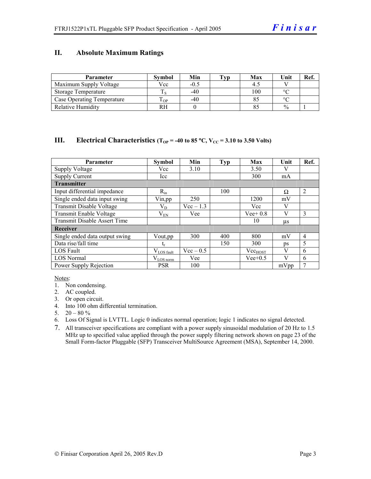#### **II. Absolute Maximum Ratings**

| Parameter                         | <b>Symbol</b> | Min    | Typ | Max | Unit          | Ref. |
|-----------------------------------|---------------|--------|-----|-----|---------------|------|
| Maximum Supply Voltage            | Vcc           | $-0.5$ |     |     |               |      |
| Storage Temperature               |               | -40    |     | 100 | $\circ$       |      |
| <b>Case Operating Temperature</b> | OP-           | $-40$  |     |     | $\sim$        |      |
| <b>Relative Humidity</b>          | RН            |        |     |     | $\frac{0}{0}$ |      |

#### **III.** Electrical Characteristics ( $T_{OP}$  = -40 to 85 °C,  $V_{CC}$  = 3.10 to 3.50 Volts)

| <b>Parameter</b>                    | <b>Symbol</b>          | Min         | <b>Typ</b> | Max          | Unit    | Ref.           |
|-------------------------------------|------------------------|-------------|------------|--------------|---------|----------------|
| <b>Supply Voltage</b>               | Vcc                    | 3.10        |            | 3.50         |         |                |
| <b>Supply Current</b>               | Icc                    |             |            | 300          | mA      |                |
| <b>Transmitter</b>                  |                        |             |            |              |         |                |
| Input differential impedance        | $R_{in}$               |             | 100        |              | Ω       | $\overline{2}$ |
| Single ended data input swing       | Vin, pp                | 250         |            | 1200         | mV      |                |
| Transmit Disable Voltage            | $\rm V_{D}$            | $Vec-1.3$   |            | Vcc          | V       |                |
| Transmit Enable Voltage             | $\rm V_{EN}$           | Vee         |            | $Vee+0.8$    | V       | 3              |
| <b>Transmit Disable Assert Time</b> |                        |             |            | 10           | $\mu$ s |                |
| Receiver                            |                        |             |            |              |         |                |
| Single ended data output swing      | Vout, pp               | 300         | 400        | 800          | mV      | $\overline{4}$ |
| Data rise/fall time                 | t,                     |             | 150        | 300          | ps      | 5              |
| <b>LOS</b> Fault                    | $V_{\text{LOS}}$ fault | $Vec - 0.5$ |            | $Vec_{HOST}$ | V       | 6              |
| <b>LOS Normal</b>                   | $V_{LOS\,norm}$        | Vee         |            | $Vee+0.5$    | V       | 6              |
| Power Supply Rejection              | <b>PSR</b>             | 100         |            |              | mVpp    | 7              |

Notes:

- 1. Non condensing.
- 2. AC coupled.
- 3. Or open circuit.
- 4. Into 100 ohm differential termination.
- 5.  $20 80 \%$
- 6. Loss Of Signal is LVTTL. Logic 0 indicates normal operation; logic 1 indicates no signal detected.
- 7. All transceiver specifications are compliant with a power supply sinusoidal modulation of 20 Hz to 1.5 MHz up to specified value applied through the power supply filtering network shown on page 23 of the Small Form-factor Pluggable (SFP) Transceiver MultiSource Agreement (MSA), September 14, 2000.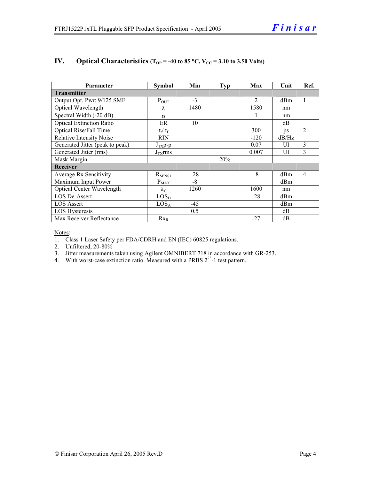| <b>Parameter</b>                 | <b>Symbol</b>     | Min   | Typ | Max            | Unit            | Ref.           |  |
|----------------------------------|-------------------|-------|-----|----------------|-----------------|----------------|--|
| <b>Transmitter</b>               |                   |       |     |                |                 |                |  |
| Output Opt. Pwr: 9/125 SMF       | $P_{\text{OUT}}$  | $-3$  |     | $\mathfrak{D}$ | d <sub>Bm</sub> | $\mathbf{1}$   |  |
| Optical Wavelength               | λ                 | 1480  |     | 1580           | nm              |                |  |
| Spectral Width (-20 dB)          | $\sigma$          |       |     |                | nm              |                |  |
| <b>Optical Extinction Ratio</b>  | ER                | 10    |     |                | dB              |                |  |
| Optical Rise/Fall Time           | $t_r / t_f$       |       |     | 300            | ps              | $\overline{2}$ |  |
| <b>Relative Intensity Noise</b>  | <b>RIN</b>        |       |     | $-120$         | dB/Hz           |                |  |
| Generated Jitter (peak to peak)  | $J_{TX}p-p$       |       |     | 0.07           | UI              | 3              |  |
| Generated Jitter (rms)           | $J_{TX}$ rms      |       |     | 0.007          | UI              | 3              |  |
| Mask Margin                      |                   |       | 20% |                |                 |                |  |
| Receiver                         |                   |       |     |                |                 |                |  |
| Average Rx Sensitivity           | $R_{SENS1}$       | $-28$ |     | $-8$           | dBm             | $\overline{4}$ |  |
| Maximum Input Power              | $P_{\text{MAX}}$  | $-8$  |     |                | dBm             |                |  |
| <b>Optical Center Wavelength</b> | $\lambda_{\rm C}$ | 1260  |     | 1600           | nm              |                |  |
| LOS De-Assert                    | LOS <sub>D</sub>  |       |     | $-28$          | dBm             |                |  |
| <b>LOS Assert</b>                | LOS <sub>A</sub>  | $-45$ |     |                | dBm             |                |  |
| <b>LOS Hysteresis</b>            |                   | 0.5   |     |                | dB              |                |  |
| Max Receiver Reflectance         | $Rx_R$            |       |     | $-27$          | dВ              |                |  |

#### **IV.** Optical Characteristics ( $T_{OP}$  = -40 to 85 °C,  $V_{CC}$  = 3.10 to 3.50 Volts)

Notes:

1. Class 1 Laser Safety per FDA/CDRH and EN (IEC) 60825 regulations.

2. Unfiltered, 20-80%

- 3. Jitter measurements taken using Agilent OMNIBERT 718 in accordance with GR-253.
- 4. With worst-case extinction ratio. Measured with a PRBS  $2^{23}$ -1 test pattern.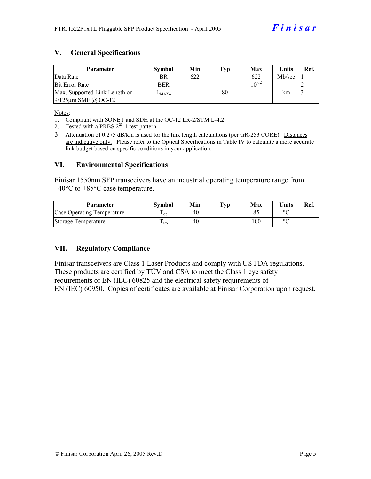#### **V. General Specifications**

| Parameter                     | <b>Symbol</b> | Min | $\mathbf{Typ}$ | Max        | <b>Units</b> | Ref. |
|-------------------------------|---------------|-----|----------------|------------|--------------|------|
| Data Rate                     | BR            | 622 |                | 622        | Mb/sec       |      |
| <b>Bit Error Rate</b>         | <b>BER</b>    |     |                | $10^{-12}$ |              |      |
| Max. Supported Link Length on | $L_{MAX4}$    |     | 80             |            | km           |      |
| $9/125$ µm SMF @ OC-12        |               |     |                |            |              |      |

Notes:

- 1. Compliant with SONET and SDH at the OC-12 LR-2/STM L-4.2.
- 2. Tested with a PRBS  $2^{23}$ -1 test pattern.
- 3. Attenuation of 0.275 dB/km is used for the link length calculations (per GR-253 CORE). Distances are indicative only. Please refer to the Optical Specifications in Table IV to calculate a more accurate link budget based on specific conditions in your application.

#### **VI. Environmental Specifications**

Finisar 1550nm SFP transceivers have an industrial operating temperature range from –40°C to +85°C case temperature.

| Parameter                  | Svmbol | Min | $\mathbf{T}_{\mathbf{V}\mathbf{p}}$ | Max | <b>Units</b> | Ref. |
|----------------------------|--------|-----|-------------------------------------|-----|--------------|------|
| Case Operating Temperature | ' op   | -40 |                                     |     | $\circ$      |      |
| Storage Temperature        | ⊥ sto  | -40 |                                     | 100 | $\sim$       |      |

#### **VII. Regulatory Compliance**

Finisar transceivers are Class 1 Laser Products and comply with US FDA regulations. These products are certified by TÜV and CSA to meet the Class 1 eye safety requirements of EN (IEC) 60825 and the electrical safety requirements of EN (IEC) 60950. Copies of certificates are available at Finisar Corporation upon request.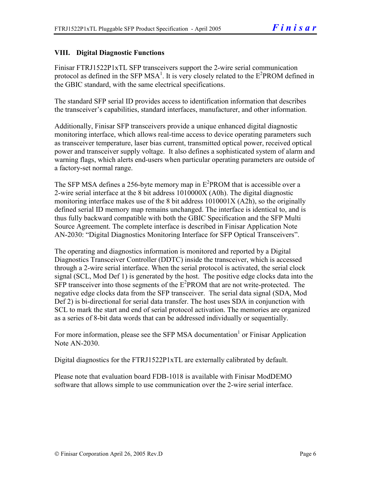#### **VIII. Digital Diagnostic Functions**

Finisar FTRJ1522P1xTL SFP transceivers support the 2-wire serial communication protocol as defined in the SFP MSA<sup>1</sup>. It is very closely related to the  $E^2$ PROM defined in the GBIC standard, with the same electrical specifications.

The standard SFP serial ID provides access to identification information that describes the transceiver's capabilities, standard interfaces, manufacturer, and other information.

Additionally, Finisar SFP transceivers provide a unique enhanced digital diagnostic monitoring interface, which allows real-time access to device operating parameters such as transceiver temperature, laser bias current, transmitted optical power, received optical power and transceiver supply voltage. It also defines a sophisticated system of alarm and warning flags, which alerts end-users when particular operating parameters are outside of a factory-set normal range.

The SFP MSA defines a 256-byte memory map in  $E^2$ PROM that is accessible over a 2-wire serial interface at the 8 bit address 1010000X (A0h). The digital diagnostic monitoring interface makes use of the 8 bit address 1010001X (A2h), so the originally defined serial ID memory map remains unchanged. The interface is identical to, and is thus fully backward compatible with both the GBIC Specification and the SFP Multi Source Agreement. The complete interface is described in Finisar Application Note AN-2030: "Digital Diagnostics Monitoring Interface for SFP Optical Transceivers".

The operating and diagnostics information is monitored and reported by a Digital Diagnostics Transceiver Controller (DDTC) inside the transceiver, which is accessed through a 2-wire serial interface. When the serial protocol is activated, the serial clock signal (SCL, Mod Def 1) is generated by the host. The positive edge clocks data into the  $SFP$  transceiver into those segments of the  $E^2$ PROM that are not write-protected. The negative edge clocks data from the SFP transceiver. The serial data signal (SDA, Mod Def 2) is bi-directional for serial data transfer. The host uses SDA in conjunction with SCL to mark the start and end of serial protocol activation. The memories are organized as a series of 8-bit data words that can be addressed individually or sequentially.

For more information, please see the SFP MSA documentation<sup>1</sup> or Finisar Application Note AN-2030.

Digital diagnostics for the FTRJ1522P1xTL are externally calibrated by default.

Please note that evaluation board FDB-1018 is available with Finisar ModDEMO software that allows simple to use communication over the 2-wire serial interface.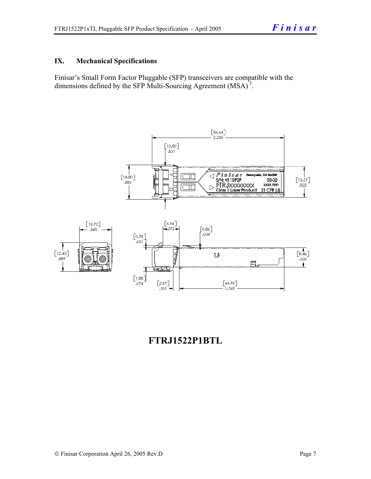#### **IX. Mechanical Specifications**

Finisar's Small Form Factor Pluggable (SFP) transceivers are compatible with the dimensions defined by the SFP Multi-Sourcing Agreement (MSA)<sup>3</sup>.



### **FTRJ1522P1BTL**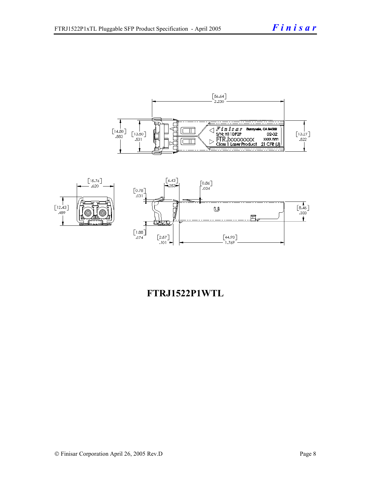



### **FTRJ1522P1WTL**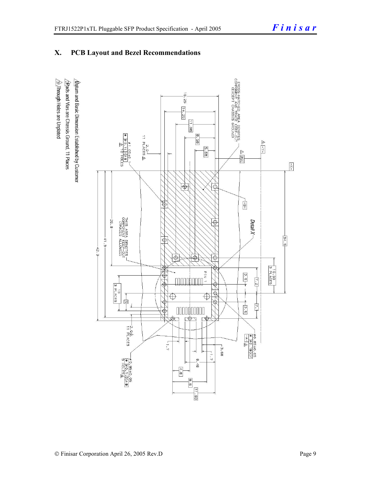#### **X. PCB Layout and Bezel Recommendations**

 $\hat{\triangle}$ Through Holes are Unplated  $\Delta$ atum and Basic Dimension Established by Customer  $\triangle$ Rads and Vias are Chassis Ground, 11 Places

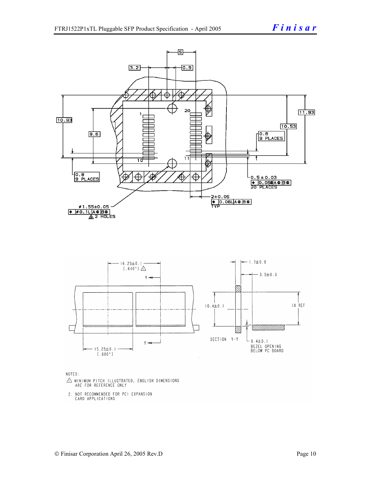

NOTES:

- $\triangle$  MINIMUM PITCH ILLUSTRATED, ENGLISH DIMENSIONS ARE FOR REFERENCE ONLY
- 2. NOT RECOMMENDED FOR PCI EXPANSION CARD APPLICATIONS